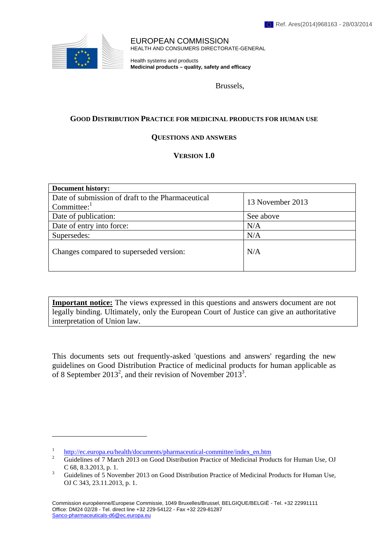

 $\overline{a}$ 

EUROPEAN COMMISSION HEALTH AND CONSUMERS DIRECTORATE-GENERAL

Health systems and products **Medicinal products – quality, safety and efficacy**

Brussels,

#### **GOOD DISTRIBUTION PRACTICE FOR MEDICINAL PRODUCTS FOR HUMAN USE**

#### **QUESTIONS AND ANSWERS**

#### **VERSION 1.0**

| <b>Document history:</b>                                                       |                  |
|--------------------------------------------------------------------------------|------------------|
| Date of submission of draft to the Pharmaceutical<br>$Committee:$ <sup>1</sup> | 13 November 2013 |
| Date of publication:                                                           | See above        |
| Date of entry into force:                                                      | N/A              |
| Supersedes:                                                                    | N/A              |
| Changes compared to superseded version:                                        | N/A              |

**Important notice:** The views expressed in this questions and answers document are not legally binding. Ultimately, only the European Court of Justice can give an authoritative interpretation of Union law.

This documents sets out frequently-asked 'questions and answers' regarding the new guidelines on Good Distribution Practice of medicinal products for human applicable as of 8 September 2013<sup>2</sup>, and their revision of November 2013<sup>3</sup>.

<sup>1</sup>  $\frac{h_{\text{t}}}{2}$  [http://ec.eu](http://ec.europa.eu/health/documents/pharmaceutical-committee/index_en.htm)ropa.eu/health/documents/pharmaceutical-committee/index\_en.htm 2

Guidelines of 7 March 2013 on Good Distribution Practice of Medicinal Products for Human Use, OJ C 68, 8.3.2013, p. 1.

Guidelines of 5 November 2013 on Good Distribution Practice of Medicinal Products for Human Use, OJ C 343, 23.11.2013, p. 1.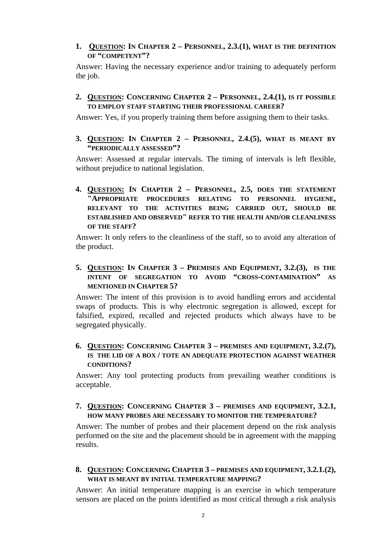#### **1. QUESTION: IN CHAPTER 2 – PERSONNEL, 2.3.(1), WHAT IS THE DEFINITION OF "COMPETENT"?**

Answer: Having the necessary experience and/or training to adequately perform the job.

#### **2. QUESTION: CONCERNING CHAPTER 2 – PERSONNEL, 2.4.(1), IS IT POSSIBLE TO EMPLOY STAFF STARTING THEIR PROFESSIONAL CAREER?**

Answer: Yes, if you properly training them before assigning them to their tasks.

**3. QUESTION: IN CHAPTER 2 – PERSONNEL, 2.4.(5), WHAT IS MEANT BY "PERIODICALLY ASSESSED"?**

Answer: Assessed at regular intervals. The timing of intervals is left flexible, without prejudice to national legislation.

**4. QUESTION: IN CHAPTER 2 – PERSONNEL, 2.5, DOES THE STATEMENT "APPROPRIATE PROCEDURES RELATING TO PERSONNEL HYGIENE, RELEVANT TO THE ACTIVITIES BEING CARRIED OUT, SHOULD BE ESTABLISHED AND OBSERVED" REFER TO THE HEALTH AND/OR CLEANLINESS OF THE STAFF?**

Answer: It only refers to the cleanliness of the staff, so to avoid any alteration of the product.

### **5. QUESTION: IN CHAPTER 3 – PREMISES AND EQUIPMENT, 3.2.(3), IS THE INTENT OF SEGREGATION TO AVOID "CROSS-CONTAMINATION" AS MENTIONED IN CHAPTER 5?**

Answer: The intent of this provision is to avoid handling errors and accidental swaps of products. This is why electronic segregation is allowed, except for falsified, expired, recalled and rejected products which always have to be segregated physically.

#### **6. QUESTION: CONCERNING CHAPTER 3 – PREMISES AND EQUIPMENT, 3.2.(7), IS THE LID OF A BOX / TOTE AN ADEQUATE PROTECTION AGAINST WEATHER CONDITIONS?**

Answer: Any tool protecting products from prevailing weather conditions is acceptable.

#### **7. QUESTION: CONCERNING CHAPTER 3 – PREMISES AND EQUIPMENT, 3.2.1, HOW MANY PROBES ARE NECESSARY TO MONITOR THE TEMPERATURE?**

Answer: The number of probes and their placement depend on the risk analysis performed on the site and the placement should be in agreement with the mapping results.

### **8. QUESTION: CONCERNING CHAPTER 3 – PREMISES AND EQUIPMENT, 3.2.1.(2), WHAT IS MEANT BY INITIAL TEMPERATURE MAPPING?**

Answer: An initial temperature mapping is an exercise in which temperature sensors are placed on the points identified as most critical through a risk analysis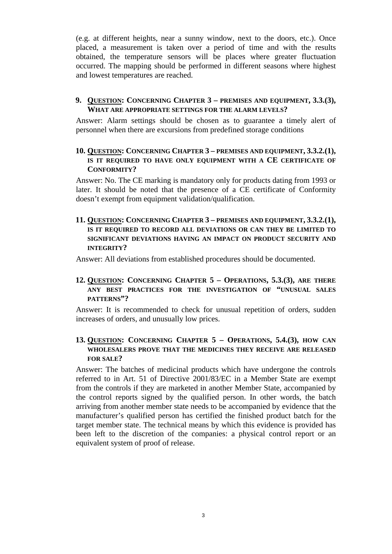(e.g. at different heights, near a sunny window, next to the doors, etc.). Once placed, a measurement is taken over a period of time and with the results obtained, the temperature sensors will be places where greater fluctuation occurred. The mapping should be performed in different seasons where highest and lowest temperatures are reached.

#### **9. QUESTION: CONCERNING CHAPTER 3 – PREMISES AND EQUIPMENT, 3.3.(3), WHAT ARE APPROPRIATE SETTINGS FOR THE ALARM LEVELS?**

Answer: Alarm settings should be chosen as to guarantee a timely alert of personnel when there are excursions from predefined storage conditions

# **10. QUESTION: CONCERNING CHAPTER 3 – PREMISES AND EQUIPMENT, 3.3.2.(1), IS IT REQUIRED TO HAVE ONLY EQUIPMENT WITH A CE CERTIFICATE OF CONFORMITY?**

Answer: No. The CE marking is mandatory only for products dating from 1993 or later. It should be noted that the presence of a CE certificate of Conformity doesn't exempt from equipment validation/qualification.

## **11. QUESTION: CONCERNING CHAPTER 3 – PREMISES AND EQUIPMENT, 3.3.2.(1), IS IT REQUIRED TO RECORD ALL DEVIATIONS OR CAN THEY BE LIMITED TO SIGNIFICANT DEVIATIONS HAVING AN IMPACT ON PRODUCT SECURITY AND INTEGRITY?**

Answer: All deviations from established procedures should be documented.

#### **12. QUESTION: CONCERNING CHAPTER 5 – OPERATIONS, 5.3.(3), ARE THERE ANY BEST PRACTICES FOR THE INVESTIGATION OF "UNUSUAL SALES PATTERNS"?**

Answer: It is recommended to check for unusual repetition of orders, sudden increases of orders, and unusually low prices.

# **13. QUESTION: CONCERNING CHAPTER 5 – OPERATIONS, 5.4.(3), HOW CAN WHOLESALERS PROVE THAT THE MEDICINES THEY RECEIVE ARE RELEASED FOR SALE?**

Answer: The batches of medicinal products which have undergone the controls referred to in Art. 51 of Directive 2001/83/EC in a Member State are exempt from the controls if they are marketed in another Member State, accompanied by the control reports signed by the qualified person. In other words, the batch arriving from another member state needs to be accompanied by evidence that the manufacturer's qualified person has certified the finished product batch for the target member state. The technical means by which this evidence is provided has been left to the discretion of the companies: a physical control report or an equivalent system of proof of release.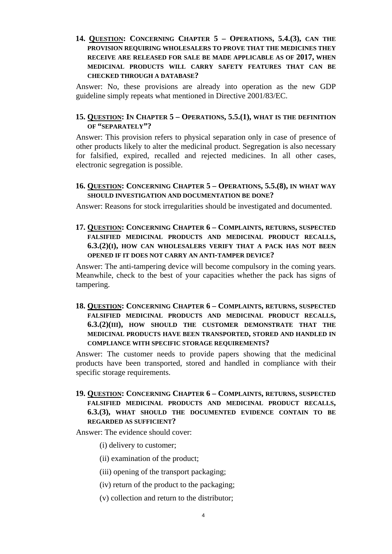### **14. QUESTION: CONCERNING CHAPTER 5 – OPERATIONS, 5.4.(3), CAN THE PROVISION REQUIRING WHOLESALERS TO PROVE THAT THE MEDICINES THEY RECEIVE ARE RELEASED FOR SALE BE MADE APPLICABLE AS OF 2017, WHEN MEDICINAL PRODUCTS WILL CARRY SAFETY FEATURES THAT CAN BE CHECKED THROUGH A DATABASE?**

Answer: No, these provisions are already into operation as the new GDP guideline simply repeats what mentioned in Directive 2001/83/EC.

#### **15. QUESTION: IN CHAPTER 5 – OPERATIONS, 5.5.(1), WHAT IS THE DEFINITION OF "SEPARATELY"?**

Answer: This provision refers to physical separation only in case of presence of other products likely to alter the medicinal product. Segregation is also necessary for falsified, expired, recalled and rejected medicines. In all other cases, electronic segregation is possible.

#### **16. QUESTION: CONCERNING CHAPTER 5 – OPERATIONS, 5.5.(8), IN WHAT WAY SHOULD INVESTIGATION AND DOCUMENTATION BE DONE?**

Answer: Reasons for stock irregularities should be investigated and documented.

**17. QUESTION: CONCERNING CHAPTER 6 – COMPLAINTS, RETURNS, SUSPECTED FALSIFIED MEDICINAL PRODUCTS AND MEDICINAL PRODUCT RECALLS, 6.3.(2)(I), HOW CAN WHOLESALERS VERIFY THAT A PACK HAS NOT BEEN OPENED IF IT DOES NOT CARRY AN ANTI-TAMPER DEVICE?**

Answer: The anti-tampering device will become compulsory in the coming years. Meanwhile, check to the best of your capacities whether the pack has signs of tampering.

### **18. QUESTION: CONCERNING CHAPTER 6 – COMPLAINTS, RETURNS, SUSPECTED FALSIFIED MEDICINAL PRODUCTS AND MEDICINAL PRODUCT RECALLS, 6.3.(2)(III), HOW SHOULD THE CUSTOMER DEMONSTRATE THAT THE MEDICINAL PRODUCTS HAVE BEEN TRANSPORTED, STORED AND HANDLED IN COMPLIANCE WITH SPECIFIC STORAGE REQUIREMENTS?**

Answer: The customer needs to provide papers showing that the medicinal products have been transported, stored and handled in compliance with their specific storage requirements.

## **19. QUESTION: CONCERNING CHAPTER 6 – COMPLAINTS, RETURNS, SUSPECTED FALSIFIED MEDICINAL PRODUCTS AND MEDICINAL PRODUCT RECALLS, 6.3.(3), WHAT SHOULD THE DOCUMENTED EVIDENCE CONTAIN TO BE REGARDED AS SUFFICIENT?**

Answer: The evidence should cover:

- (i) delivery to customer;
- (ii) examination of the product;
- (iii) opening of the transport packaging;
- (iv) return of the product to the packaging;
- (v) collection and return to the distributor;